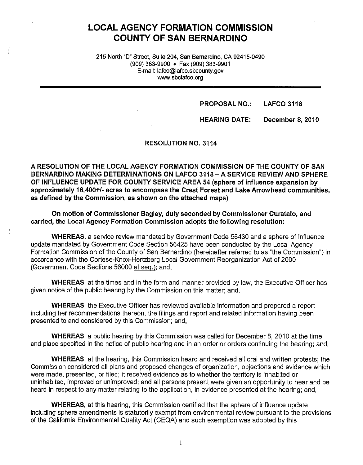# **LOCAL AGENCY FORMATION COMMISSION COUNTY OF SAN BERNARDINO**

215 North "D" Street, Suite 204, San Bernardino, CA 92415-0490 (909) 383-9900 • Fax (909) 383-9901 E-mail: lafco@lafco.sbcounty.gov www.sbclafco.org

#### **PROPOSAL NO.: LAFCO 3118**

#### **HEARING DATE: December 8, 2010**

#### **RESOLUTION NO. 3114**

**A RESOLUTION OF THE LOCAL AGENCY FORMATION COMMISSION OF THE COUNTY OF SAN BERNARDINO MAKING DETERMINATIONS ON LAFCO 3118-ASERVICE REVIEW AND SPHERE OF INFLUENCE UPDATE FOR COUNTY SERVICE AREA 54 (sphere of influence expansion by approximately 16,400+/- acres to encompass the Crest Forest and Lake Arrowhead communities, as defined by the Commission, as shown on the attached maps)** 

**On motion of Commissioner Bagley, duly seconded by Commissioner Curatalo, and carried, the Local Agency Formation Commission adopts the following resolution:** 

**WHEREAS,** a service review mandated by Government Code 56430 and a sphere of influence update mandated by Government Code Section 56425 have been conducted by the Local Agency Formation Commission of the County of San Bernardino (hereinafter referred to as "the Commission") in accordance with the Cortese-Knox-Hertzberg Local Government Reorganization Act of 2000 (Government Code Sections 56000 et seq.); and,

**WHEREAS,** at the times and in the form and manner provided by law, the Executive Officer has given notice of the public hearing by the Commission on this matter; and,

**WHEREAS,** the Executive Officer has reviewed available information and prepared a report including her recommendations thereon, the filings and report and related information having been presented to and considered by this Commission; and,

**WHEREAS,** a public hearing by this Commission was called for December 8, 2010 at the time and place specified in the notice of public hearing and in an order or orders continuing the hearing; and,

**WHEREAS,** at the hearing, this Commission heard and received all oral and written protests; the Commission considered all plans and proposed changes of organization, objections and evidence which were made, presented, or filed; it received evidence as to whether the territory is inhabited or uninhabited, improved or unimproved; and all persons present were given an opportunity to hear and be heard in respect to any matter relating to the application, in evidence presented at the hearing; and,

**WHEREAS,** at this hearing, this Commission certified that the sphere of influence update including sphere amendments is statutorily exempt from environmental review pursuant to the provisions of the California Environmental Quality Act (CEQA) and such exemption was adopted by this

 $\mathbf{1}$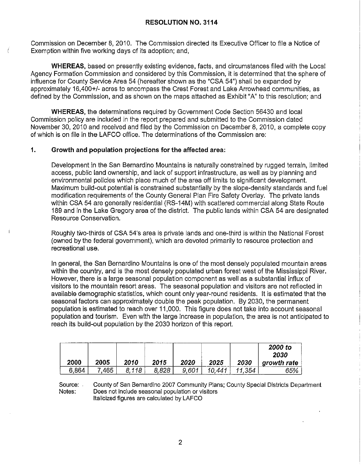Commission on December 8, 2010. The Commission directed its Executive Officer to file a Notice of Exemption within five working days of its adoption; and,

**WHEREAS,** based on presently existing evidence, facts, and circumstances filed with the Local Agency Formation Commission and considered by this Commission, it is determined that the sphere of influence for County Service Area 54 (hereafter shown as the "CSA 54") shall be expanded by approximately 16,400+/- acres to encompass the Crest Forest and Lake Arrowhead communities, as defined by the Commission, and as shown on the maps attached as Exhibit "A" to this resolution; and

**WHEREAS,** the determinations required by Government Code Section 56430 and local Commission policy are included in the report prepared and submitted to the Commission dated November 30, 2010 and received and filed by the Commission on December 8, 2010, a complete copy of which is on file in the LAFCO office. The determinations of the Commission are:

### **1. Growth and population projections for the affected area:**

Development in the San Bernardino Mountains is naturally constrained by rugged terrain, limited access, public land ownership, and lack of support infrastructure, as well as by planning and environmental policies which place much of the area off limits to significant development. Maximum build-out potential is constrained substantially by the slope-density standards and fuel modification requirements of the County General Plan Fire Safety Overlay. The private lands within CSA 54 are generally residential (RS-14M) with scattered commercial along State Route 189 and in the Lake Gregory area of the district. The public lands within CSA 54 are designated Resource Conservation.

Roughly two-thirds of CSA 54's area is private lands and one-third is within the National Forest (owned by the federal government), which are devoted primarily to resource protection and recreational use.

In general, the San Bernardino Mountains is one of the most densely populated mountain areas within the country, and is the most densely populated urban forest west of the Mississippi River. However, there is a large seasonal population component as well as a substantial influx of visitors to the mountain resort areas. The seasonal population and visitors are not reflected in available demographic statistics, which count only year-round residents. It is estimated that the seasonal factors can approximately double the peak population. By 2030, the permanent population is estimated to reach over 11,000. This figure does not take into account seasonal population and tourism. Even with the large increase in population, the area is not anticipated to reach its build-out population by the 2030 horizon of this report.

|       |      |       |       |       |       |      | 2000 to<br>2030 |  |
|-------|------|-------|-------|-------|-------|------|-----------------|--|
| 2000  | 2005 | 2010  | 2015  | 2020  | 2025  | 2030 | growth rate     |  |
| 6,864 | .465 | 8.118 | 8.828 | 9.601 | 44ء ، | 354  | 65%             |  |

Source: Notes: County of San Bernardino 2007 Community Plans; County Special Districts Department Does not include seasonal population or visitors Italicized figures are calculated by LAFCO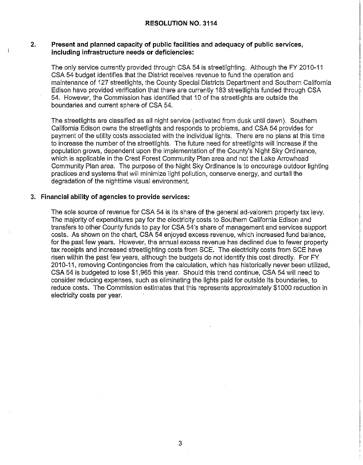### **2. Present and planned capacity of public facilities and adequacy of public services, including infrastructure needs or deficiencies:**

The only service currently provided through CSA 54 is streetlighting. Although the FY 2010-11 CSA 54 budget identifies that the District receives revenue to fund the operation and maintenance of 127 streetlights, the County Special Districts Department and Southern California Edison have provided verification that there are currently 183 streetlights funded through CSA 54. However, the Commission has identified that 10 of the streetlights are outside the boundaries and current sphere of CSA 54.

The streetlights are classified as all night service (activated from dusk until dawn). Southern California Edison owns the streetlights and responds to problems, and CSA 54 provides for payment of the utility costs associated with the individual lights. There are no plans at this time to increase the number of the streetlights. The future need for streetlights will increase if the population grows, dependent upon the implementation of the County's' Night Sky Ordinance, which is applicable in the Crest Forest Community Plan area and not the Lake Arrowhead Community Plan area. The purpose of the Night Sky Ordinance is to encourage outdoor lighting practices and systems that will minimize light pollution, conserve energy, and curtail the degradation of the nighttime visual environment.

#### **3. Financial ability of agencies to provide services:**

The sole source of revenue for CSA 54 is its share of the general ad-valorem property tax levy. The majority of expenditures pay for the electricity costs to Southern California Edison and . transfers to other County funds to pay for CSA 54's share of management and services support costs. As shown on the chart, CSA 54 enjoyed excess revenue, which increased fund balance, for the past few years. However, the annual excess revenue has declined due to fewer property tax receipts and increased streetlighting costs from SCE. The electricity costs from SCE have risen within the past few years, although the budgets do not identify this cost directly. For FY 2010-11, removing Contingencies from the calculation, which has historically never been utilized, CSA 54 is budgeted to lose \$1,965 this year. Should this trend continue, CSA 54 will need to consider reducing expenses, such as eliminating the lights paid for outside its boundaries, to reduce costs. The Commission estimates that this represents approximately \$1000 reduction in electricity costs per year.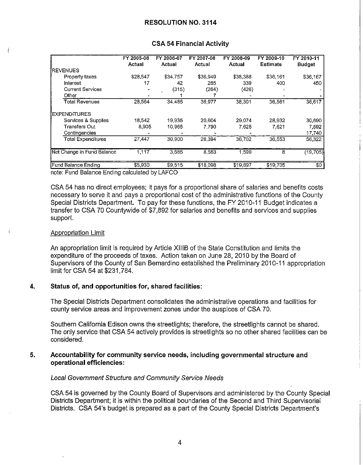|                                       | FY 2005-06<br><b>Actual</b> | FY 2006-07<br>Actual | FY 2007-08<br>Actual | FY 2008-09<br>Actual | FY 2009-10<br><b>Estimate</b> | FY 2010-11<br><b>Budget</b> |
|---------------------------------------|-----------------------------|----------------------|----------------------|----------------------|-------------------------------|-----------------------------|
| <b>IREVENUES</b>                      |                             |                      |                      |                      |                               |                             |
| Property taxes                        | \$28,547                    | \$34,757             | \$36,949             | \$38,388             | \$36,161                      | \$36,167                    |
| Interest                              | 17                          | 42                   | 285                  | 339                  | 400                           | 450                         |
| <b>Current Services</b>               |                             | (315)                | (264)                | (426)                |                               |                             |
| Other                                 |                             |                      |                      |                      |                               |                             |
| <b>Total Revenues</b>                 | 28,564                      | 34 4 8 5             | 36,977               | 38,301               | 36,561                        | 36,617                      |
| EXPENDITURES                          |                             |                      |                      |                      |                               |                             |
| Services & Supplies                   | 18.542                      | 19.935               | 20,604               | 29,074               | 28.932                        | 30,690                      |
| Transfers Out                         | 8,905                       | 10 965               | 7,790                | 7,628                | 7.621                         | 7,892                       |
| Contingencies                         |                             |                      |                      |                      |                               | 17,740                      |
| <b>Total Expenditures</b>             | 27,447                      | 30,900               | 28,394               | 36,702               | 36,553                        | 56,322                      |
| Net Change in Fund Balance            | 1,117                       | 3585                 | 8,583                | 1,599                | 8                             | (19, 705)                   |
| <b>Fund Balance Ending</b><br>\$5.930 |                             | \$9.515              | \$18,098             | \$19,697             | \$19,705                      | $\sqrt{6}$                  |

### **CSA 54 Financial Activity**

note: Fund Balance Ending calculated by LAFCO

CSA 54 has no direct employees; it pays for a proportional share of salaries and benefits costs necessary to serve it and pays a proportional cost of the administrative functions of the County Special Districts Department. To pay for these functions, the FY 2010-11 Budget indicates a transfer to CSA 70 Countywide of \$7,892 for salaries and benefits and services and supplies support.

#### Appropriation Limit

An appropriation limit is required by Article XIIIB of the State Constitution and limits the expenditure of the proceeds of taxes. Action taken on June 28, 2010 by the Board of Supervisors of the County of San Bernardino established the Preliminary 2010-11 appropriation limit for CSA 54 at \$231,784.

#### **4. Status of, and opportunities for, shared facilities:**

The Special Districts Department consolidates the administrative operations and facilities for county service areas and improvement zones under the auspices of CSA 70.

Southern California Edison owns the streetlights; therefore, the streetlights cannot be shared. The only service that CSA 54 actively provides is streetlights so no other shared facilities can be considered.

### **5. Accountability for community service needs, including governmental structure and operational efficiencies:**

#### Local Government Structure and Community Service Needs

CSA 54 is governed by the County Board of Supervisors and administered by the County Special Districts Department; it is within the political boundaries of the Second and Third Supervisorial Districts. CSA 54's budget is prepared as a part of the County Special Districts Department's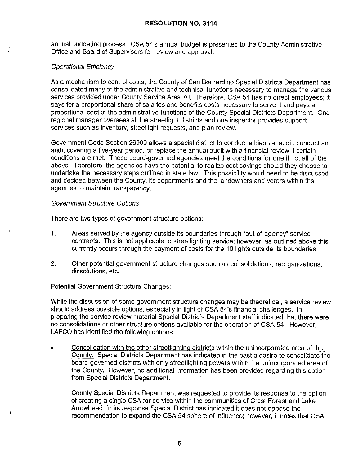annual budgeting process. CSA 54's annual budget is presented to the County Administrative Office and Board of Supervisors for review and approval.

# Operational Efficiency

As a mechanism to control costs, the County of San Bernardino Special Districts Department has consolidated many of the administrative and technical functions necessary to manage the various services provided under County Service Area 70. Therefore, CSA 54 has no direct employees; it pays for a proportional share of salaries and benefits costs necessary to serve it and pays a proportional cost of the administrative functions of the County Special Districts Department. One regional manager oversees all the streetlight districts and one inspector provides support services such as inventory, streetlight requests, and plan review.

Government Code Section 26909 allows a special district to conduct a biennial audit, conduct an audit covering a five-year period, or replace the annual audit with a financial review if certain conditions are met. These board-governed agencies meet the conditions for one if not all of the above. Therefore, the agencies have the potential to realize cost savings should they choose to undertake the necessary steps outlined in state law. This possibility would need to be discussed and decided between the County, its departments and the landowners and voters within the agencies to maintain transparency.

# Government Structure Options

There are two types of government structure options:

- 1. Areas served by the agency outside its boundaries through "out-of-agency" service contracts. This is not applicable to streetlighting service; however, as outlined above this currently occurs through the payment of costs for the 10 lights outside its boundaries.
- 2. Other potential government structure changes such as consolidations, reorganizations, dissolutions, etc.

# Potential Government Structure Changes:

While the discussion of some government structure changes may be theoretical, a service review should address possible options, especially in light of CSA 54's financial challenges. In preparing the service review material Special Districts Department staff indicated that there were no consolidations or other structure options available for the operation of CSA 54. However, LAFCO has identified the following options.

• Consolidation with the other streetlighting districts within the unincorporated area of the County. Special Districts Department has indicated in the past a desire to consolidate the board-governed districts with only streetlighting powers within the unincorporated area of the County. However, no additional information has been provided regarding this option from Special Districts Department.

County Special Districts Department was requested to provide its response to the option of creating a single CSA for service within the communities of Crest Forest and Lake Arrowhead. In its response Special District has indicated it does not oppose the recommendation to expand the CSA 54 sphere of influence; however, it notes that CSA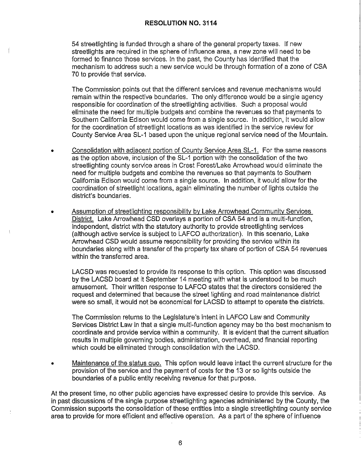54 streetlighting is funded through a share of the general property taxes. If new streetlights are required in the sphere of influence area, a new zone will need to be formed to finance those services. In the past, the County has identified that the mechanism to address such a new service would be through formation of a zone of CSA 70 to provide that service.

The Commission points out that the different services and revenue mechanisms would remain within the respective boundaries. The only difference would be a single agency responsible for coordination of the streetlighting activities. Such a proposal would eliminate the need for multiple budgets and combine the revenues so that payments to Southern California Edison would come from a single source. In addition, it would allow for the coordination of streetlight locations as was identified in the service review for County Service Area SL-1 based upon the unique regional service need of the Mountain.

- Consolidation with adiacent portion of County Service Area SL-1. For the same reasons as the option above, inclusion of the SL-1 portion with the consolidation of the two streetlighting county service areas in Crest Forest/Lake Arrowhead would eliminate the need for multiple budgets and combine the revenues so that payments to Southern California Edison would come from a single source. In addition, it would allow for the coordination of streetlight locations, again eliminating the number of lights outside the district's boundaries.
- Assumption of streetlighting responsibility by Lake Arrowhead Community Services District. Lake Arrowhead CSD overlays a portion of CSA 54 and is a multi-function, independent, district with the statutory authority to provide streetlighting services (although active service is subject to LAFCO authorization). In this scenario, Lake Arrowhead CSD would assume responsibility for providing the service within its boundaries along with a transfer of the property tax share of portion of CSA 54 revenues within the transferred area.

LACSD was requested to provide its response to this option. This option was discussed by the LACSD board at it September 14 meeting with what is understood to be much amusement. Their written response to LAFCO states that the directors considered the request and determined that because the street lighting and road maintenance district were so small, it would not be economical for LACSD to attempt to operate the districts.

The Commission returns to the Legislature's intent in LAFCO Law and Community Services District Law in that a single multi-function agency may be the best mechanism to coordinate and provide service within a community. It is evident that the current situation results in multiple governing bodies, administration, overhead, and financial reporting which could be eliminated through consolidation with the LACSD.

• Maintenance of the status quo. This option would leave intact the current structure for the provision of the service and the payment of costs for the 13 or so lights outside the boundaries of a public entity receiving revenue for that purpose.

At the present time, no other public agencies have expressed desire to provide this service. As in past discussions of the single purpose streetlighting agencies administered by the County, the Commission supports the consolidation of these entities into a single streetlighting county service area to provide for more efficient and effective operation. As a part of the sphere of influence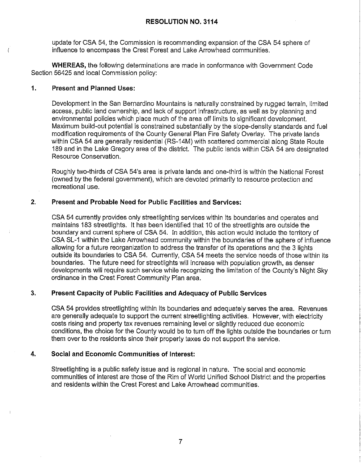update for CSA 54, the Commission is recommending expansion of the CSA 54 sphere of influence to encompass the Crest Forest and Lake Arrowhead communities.

**WHEREAS,** the following determinations are made in conformance with Government Code Section 56425 and local Commission policy:

### **1. Present and Planned Uses:**

Development in the San Bernardino Mountains is naturally constrained by rugged terrain, limited access, public land ownership, and lack of support infrastructure, as well as by planning and environmental policies which place much of the area off limits to significant development. Maximum build-out potential is constrained substantially by the slope-density standards and fuel modification requirements of the County General Plan Fire Safety Overlay. The private lands within CSA 54 are generally residential (RS-14M) with scattered commercial along State Route 189 and in the Lake Gregory area of the district. The public lands within CSA 54 are designated Resource Conservation.

Roughly two-thirds of CSA 54's area is private lands and one-third is within the National Forest (owned by the federal government), which are devoted primarily to resource protection and recreational use.

# **2. Present and Probable Need for Public Facilities and Services:**

CSA 54 currently provides only streetlighting services within its boundaries and operates and maintains 183 streetlights. It has been identified that 10 of the streetlights are outside the boundary and current sphere of CSA 54. In addition, this action would include the territory of CSA SL-1 within the Lake Arrowhead community within the boundaries of the sphere of influence allowing for a future reorganization to address the transfer of its operations and the 3 lights outside its boundaries to CSA 54. Currently, CSA 54 meets the service needs of those within its boundaries. The future need for streetlights will increase with population growth, as denser developments will require such service while recognizing the limitation of the County's Night Sky ordinance in the Crest Forest Community Plan area.

# **3. Present Capacity of Public Facilities and Adequacy of Public Services**

CSA 54 provides streetlighting within its boundaries and adequately serves the area. Revenues are generally adequate to support the current streetlighting activities. However, with electricity costs rising and property tax revenues remaining level or slightly reduced due economic conditions, the choice for the County would be to turn off the lights outside the boundaries or turn them over to the residents since their property taxes do not support the service.

# **4. Social and Economic Communities of Interest:**

Streetlighting is a public safety issue and is regional in nature. The social and economic communities of interest are those of the Rim of World Unified School District and the properties and residents within the Crest Forest and Lake Arrowhead communities.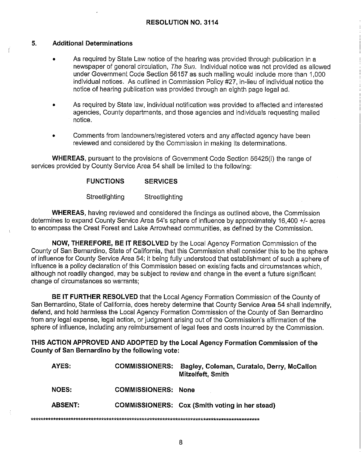## **5. Additional Determinations**

\*\*\*\*\*\*\*

- As required by State Law notice of the hearing was provided through publication in a newspaper of general circulation, The Sun. Individual notice was not provided as allowed under Government Code Section 56157 as such mailing would include more than 1,000 individual notices. As outlined in Commission Policy #27, in-lieu of individual notice the notice of hearing publication was provided through an eighth page legal ad.
- As required by State law, individual notification was provided to affected and interested agencies, County departments, and those agencies and individuals requesting mailed notice.
- Comments from landowners/registered voters and any affected agency have been reviewed and considered by the Commission in making its determinations.

**WHEREAS,** pursuant to the provisions of Government Code Section 56425(i) the range of services provided by County Service Area 54 shall be limited to the following:

#### **FUNCTIONS SERVICES**

**Streetlighting Streetlighting** 

**WHEREAS,** having reviewed and considered the findings as outlined above, the Commission determines to expand County Service Area 54's sphere of influence by approximately 16,400 +/- acres to encompass the Crest Forest and Lake Arrowhead communities, as defined by the Commission.

**NOW, THEREFORE, BE IT RESOLVED** by the Local Agency Formation Commission of the County of San Bernardino, State of California, that this Commission shall consider this to be the sphere of influence for County Service Area 54; it being fully understood that establishment of such a sphere of influence is a policy declaration of this Commission based on existing facts and circumstances which, although not readily changed, may be subject to review and change in the event a future significant change of circumstances so warrants;

**BE IT FURTHER RESOLVED** that the Local Agency Formation Commission of the County of San Bernardino, State of California, does hereby determine that County Service Area 54 shall indemnify, defend, and hold harmless the Local Agency Formation Commission of the County of San Bernardino from any legal expense, legal action, or judgment arising out of the Commission's affirmation of the sphere of influence, including any reimbursement of legal fees and costs incurred by the Commission.

**THIS ACTION APPROVED AND ADOPTED by the Local Agency Formation Commission of the County of San Bernardino by the following vote:** 

| AYES:          | <b>COMMISSIONERS:</b>      | Bagley, Coleman, Curatalo, Derry, McCallon<br>Mitzelfeft, Smith |  |  |  |  |
|----------------|----------------------------|-----------------------------------------------------------------|--|--|--|--|
| <b>NOES</b>    | <b>COMMISSIONERS: None</b> |                                                                 |  |  |  |  |
| <b>ABSENT:</b> |                            | COMMISSIONERS: Cox (Smith voting in her stead)                  |  |  |  |  |
|                |                            |                                                                 |  |  |  |  |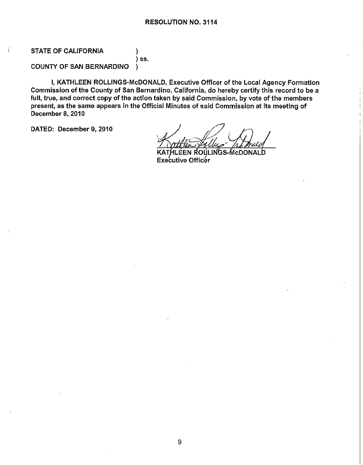# STATE OF CALIFORNIA  $)$

) ss. COUNTY OF SAN BERNARDINO )

I, KATHLEEN ROLLINGS-McDONALD, Executive Officer of the Local Agency Formation Commission of the County of San Bernardino, California, do hereby certify this record to be a full, true, and correct copy of the action taken by said Commission, by vote of the members present, as the same appears in the Official Minutes of said Commission at its meeting of December 8, 2010

DATED: December 9, 2010

.EEN ROLLINGS-McDON. ALD Executive Officer